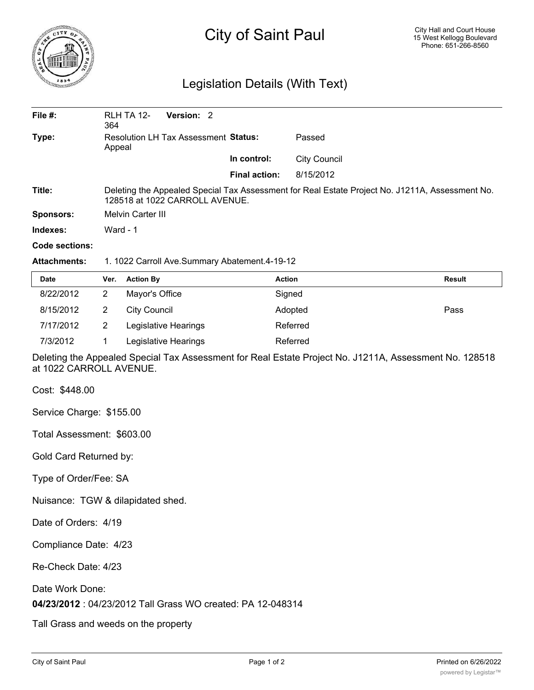

## City of Saint Paul

## Legislation Details (With Text)

| File $#$ :          | RLH TA 12-<br>Version: 2<br>364                                                                                                   |                      |                     |  |  |
|---------------------|-----------------------------------------------------------------------------------------------------------------------------------|----------------------|---------------------|--|--|
| Type:               | Resolution LH Tax Assessment Status:<br>Appeal                                                                                    |                      | Passed              |  |  |
|                     |                                                                                                                                   | In control:          | <b>City Council</b> |  |  |
|                     |                                                                                                                                   | <b>Final action:</b> | 8/15/2012           |  |  |
| Title:              | Deleting the Appealed Special Tax Assessment for Real Estate Project No. J1211A, Assessment No.<br>128518 at 1022 CARROLL AVENUE. |                      |                     |  |  |
| <b>Sponsors:</b>    | <b>Melvin Carter III</b>                                                                                                          |                      |                     |  |  |
| Indexes:            | Ward - $1$                                                                                                                        |                      |                     |  |  |
| Code sections:      |                                                                                                                                   |                      |                     |  |  |
| <b>Attachments:</b> | 1. 1022 Carroll Ave.Summary Abatement.4-19-12                                                                                     |                      |                     |  |  |

| Date      | Ver. | <b>Action By</b>     | <b>Action</b> | <b>Result</b> |  |
|-----------|------|----------------------|---------------|---------------|--|
| 8/22/2012 |      | Mayor's Office       | Signed        |               |  |
| 8/15/2012 |      | City Council         | Adopted       | Pass          |  |
| 7/17/2012 |      | Legislative Hearings | Referred      |               |  |

Deleting the Appealed Special Tax Assessment for Real Estate Project No. J1211A, Assessment No. 128518 at 1022 CARROLL AVENUE.

Cost: \$448.00

Service Charge: \$155.00

Total Assessment: \$603.00

Gold Card Returned by:

Type of Order/Fee: SA

Nuisance: TGW & dilapidated shed.

Date of Orders: 4/19

Compliance Date: 4/23

Re-Check Date: 4/23

Date Work Done:

**04/23/2012** : 04/23/2012 Tall Grass WO created: PA 12-048314

7/3/2012 1 Legislative Hearings Referred

Tall Grass and weeds on the property